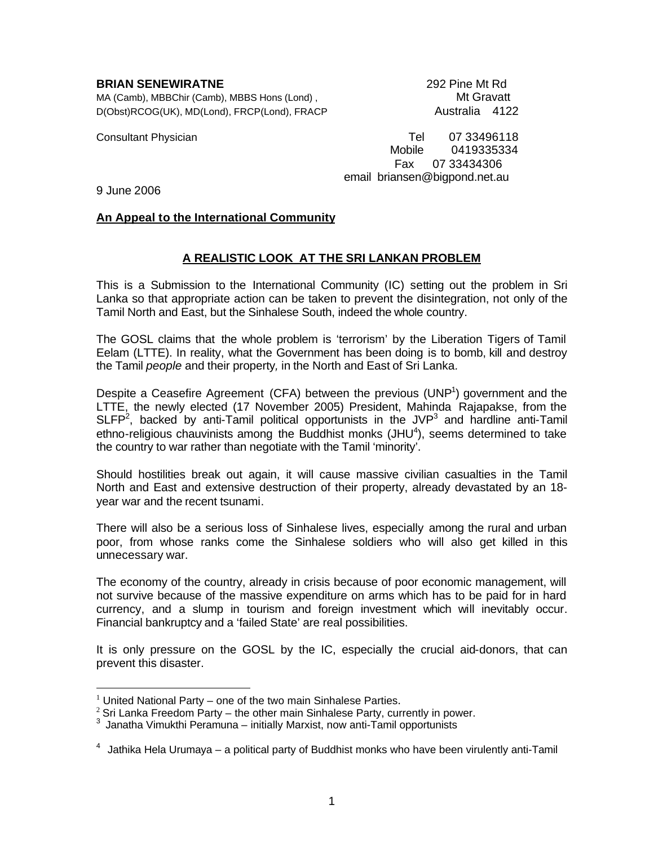### **BRIAN SENEWIRATNE** 292 Pine Mt Rd

MA (Camb), MBBChir (Camb), MBBS Hons (Lond), Manuel Camb and Mt Gravatt D(Obst)RCOG(UK), MD(Lond), FRCP(Lond), FRACP Australia 4122

Consultant Physician Tel 07 33496118 Mobile 0419335334 Fax 07 33434306 email briansen@bigpond.net.au

9 June 2006

-

## **An Appeal to the International Community**

# **A REALISTIC LOOK AT THE SRI LANKAN PROBLEM**

This is a Submission to the International Community (IC) setting out the problem in Sri Lanka so that appropriate action can be taken to prevent the disintegration, not only of the Tamil North and East, but the Sinhalese South, indeed the whole country.

The GOSL claims that the whole problem is 'terrorism' by the Liberation Tigers of Tamil Eelam (LTTE). In reality, what the Government has been doing is to bomb, kill and destroy the Tamil *people* and their property*,* in the North and East of Sri Lanka*.*

Despite a Ceasefire Agreement (CFA) between the previous (UNP<sup>1</sup>) government and the LTTE, the newly elected (17 November 2005) President, Mahinda Rajapakse, from the SLFP<sup>2</sup>, backed by anti-Tamil political opportunists in the JVP<sup>3</sup> and hardline anti-Tamil ethno-religious chauvinists among the Buddhist monks (JHU<sup>4</sup>), seems determined to take the country to war rather than negotiate with the Tamil 'minority'.

Should hostilities break out again, it will cause massive civilian casualties in the Tamil North and East and extensive destruction of their property, already devastated by an 18 year war and the recent tsunami.

There will also be a serious loss of Sinhalese lives, especially among the rural and urban poor, from whose ranks come the Sinhalese soldiers who will also get killed in this unnecessary war.

The economy of the country, already in crisis because of poor economic management, will not survive because of the massive expenditure on arms which has to be paid for in hard currency, and a slump in tourism and foreign investment which will inevitably occur. Financial bankruptcy and a 'failed State' are real possibilities.

It is only pressure on the GOSL by the IC, especially the crucial aid-donors, that can prevent this disaster.

 $1$  United National Party – one of the two main Sinhalese Parties.

 $2$  Sri Lanka Freedom Party – the other main Sinhalese Party, currently in power.

<sup>3</sup> Janatha Vimukthi Peramuna – initially Marxist, now anti-Tamil opportunists

 $4$  Jathika Hela Urumava – a political party of Buddhist monks who have been virulently anti-Tamil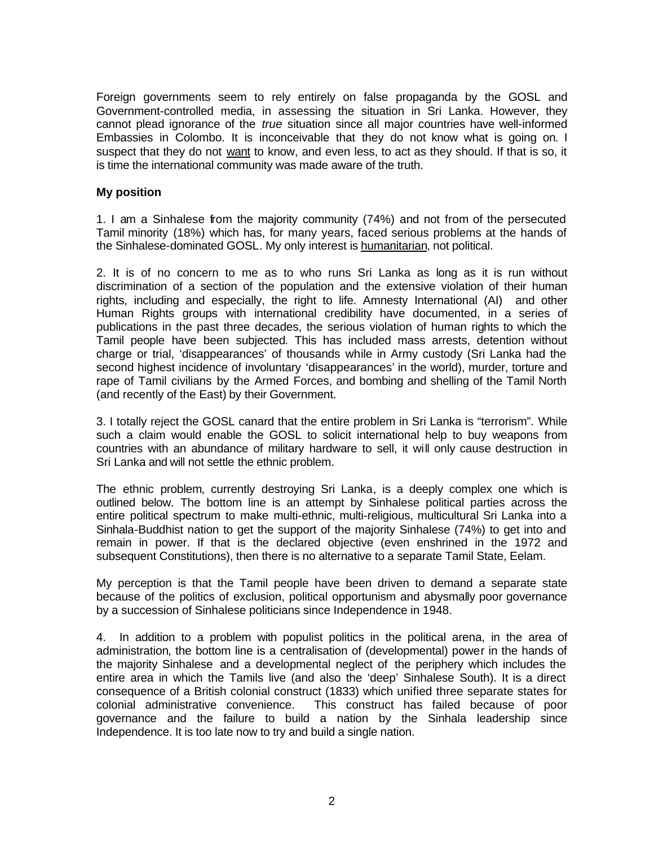Foreign governments seem to rely entirely on false propaganda by the GOSL and Government-controlled media, in assessing the situation in Sri Lanka. However, they cannot plead ignorance of the *true* situation since all major countries have well-informed Embassies in Colombo. It is inconceivable that they do not know what is going on. I suspect that they do not want to know, and even less, to act as they should. If that is so, it is time the international community was made aware of the truth.

## **My position**

1. I am a Sinhalese from the majority community (74%) and not from of the persecuted Tamil minority (18%) which has, for many years, faced serious problems at the hands of the Sinhalese-dominated GOSL. My only interest is humanitarian, not political.

2. It is of no concern to me as to who runs Sri Lanka as long as it is run without discrimination of a section of the population and the extensive violation of their human rights, including and especially, the right to life. Amnesty International (AI) and other Human Rights groups with international credibility have documented, in a series of publications in the past three decades, the serious violation of human rights to which the Tamil people have been subjected. This has included mass arrests, detention without charge or trial, 'disappearances' of thousands while in Army custody (Sri Lanka had the second highest incidence of involuntary 'disappearances' in the world), murder, torture and rape of Tamil civilians by the Armed Forces, and bombing and shelling of the Tamil North (and recently of the East) by their Government.

3. I totally reject the GOSL canard that the entire problem in Sri Lanka is "terrorism". While such a claim would enable the GOSL to solicit international help to buy weapons from countries with an abundance of military hardware to sell, it will only cause destruction in Sri Lanka and will not settle the ethnic problem.

The ethnic problem, currently destroying Sri Lanka, is a deeply complex one which is outlined below. The bottom line is an attempt by Sinhalese political parties across the entire political spectrum to make multi-ethnic, multi-religious, multicultural Sri Lanka into a Sinhala-Buddhist nation to get the support of the majority Sinhalese (74%) to get into and remain in power. If that is the declared objective (even enshrined in the 1972 and subsequent Constitutions), then there is no alternative to a separate Tamil State, Eelam.

My perception is that the Tamil people have been driven to demand a separate state because of the politics of exclusion, political opportunism and abysmally poor governance by a succession of Sinhalese politicians since Independence in 1948.

4. In addition to a problem with populist politics in the political arena, in the area of administration, the bottom line is a centralisation of (developmental) power in the hands of the majority Sinhalese and a developmental neglect of the periphery which includes the entire area in which the Tamils live (and also the 'deep' Sinhalese South). It is a direct consequence of a British colonial construct (1833) which unified three separate states for colonial administrative convenience. This construct has failed because of poor governance and the failure to build a nation by the Sinhala leadership since Independence. It is too late now to try and build a single nation.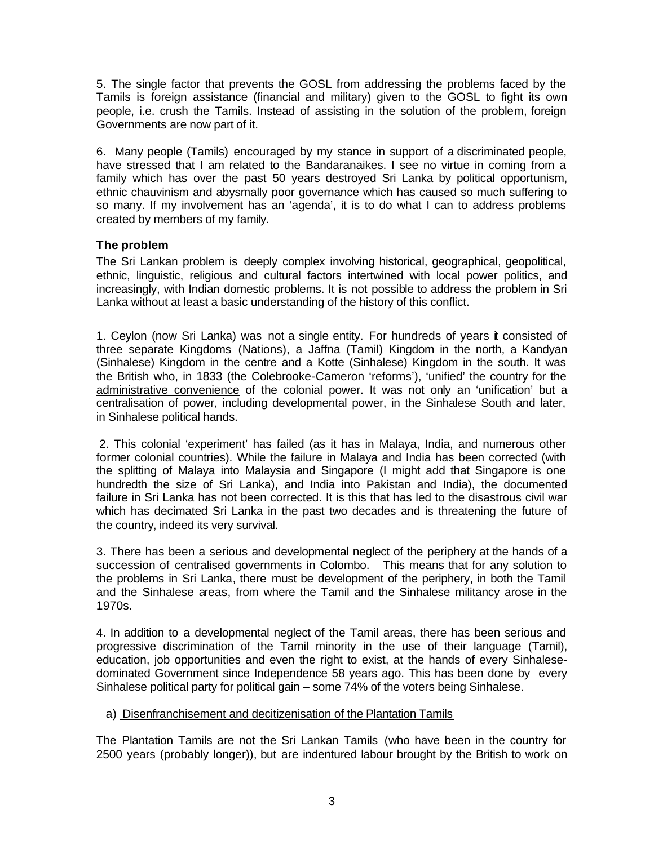5. The single factor that prevents the GOSL from addressing the problems faced by the Tamils is foreign assistance (financial and military) given to the GOSL to fight its own people, i.e. crush the Tamils. Instead of assisting in the solution of the problem, foreign Governments are now part of it.

6. Many people (Tamils) encouraged by my stance in support of a discriminated people, have stressed that I am related to the Bandaranaikes. I see no virtue in coming from a family which has over the past 50 years destroyed Sri Lanka by political opportunism, ethnic chauvinism and abysmally poor governance which has caused so much suffering to so many. If my involvement has an 'agenda', it is to do what I can to address problems created by members of my family.

# **The problem**

The Sri Lankan problem is deeply complex involving historical, geographical, geopolitical, ethnic, linguistic, religious and cultural factors intertwined with local power politics, and increasingly, with Indian domestic problems. It is not possible to address the problem in Sri Lanka without at least a basic understanding of the history of this conflict.

1. Ceylon (now Sri Lanka) was not a single entity. For hundreds of years it consisted of three separate Kingdoms (Nations), a Jaffna (Tamil) Kingdom in the north, a Kandyan (Sinhalese) Kingdom in the centre and a Kotte (Sinhalese) Kingdom in the south. It was the British who, in 1833 (the Colebrooke-Cameron 'reforms'), 'unified' the country for the administrative convenience of the colonial power. It was not only an 'unification' but a centralisation of power, including developmental power, in the Sinhalese South and later, in Sinhalese political hands.

2. This colonial 'experiment' has failed (as it has in Malaya, India, and numerous other former colonial countries). While the failure in Malaya and India has been corrected (with the splitting of Malaya into Malaysia and Singapore (I might add that Singapore is one hundredth the size of Sri Lanka), and India into Pakistan and India), the documented failure in Sri Lanka has not been corrected. It is this that has led to the disastrous civil war which has decimated Sri Lanka in the past two decades and is threatening the future of the country, indeed its very survival.

3. There has been a serious and developmental neglect of the periphery at the hands of a succession of centralised governments in Colombo. This means that for any solution to the problems in Sri Lanka, there must be development of the periphery, in both the Tamil and the Sinhalese areas, from where the Tamil and the Sinhalese militancy arose in the 1970s.

4. In addition to a developmental neglect of the Tamil areas, there has been serious and progressive discrimination of the Tamil minority in the use of their language (Tamil), education, job opportunities and even the right to exist, at the hands of every Sinhalesedominated Government since Independence 58 years ago. This has been done by every Sinhalese political party for political gain – some 74% of the voters being Sinhalese.

## a) Disenfranchisement and decitizenisation of the Plantation Tamils

The Plantation Tamils are not the Sri Lankan Tamils (who have been in the country for 2500 years (probably longer)), but are indentured labour brought by the British to work on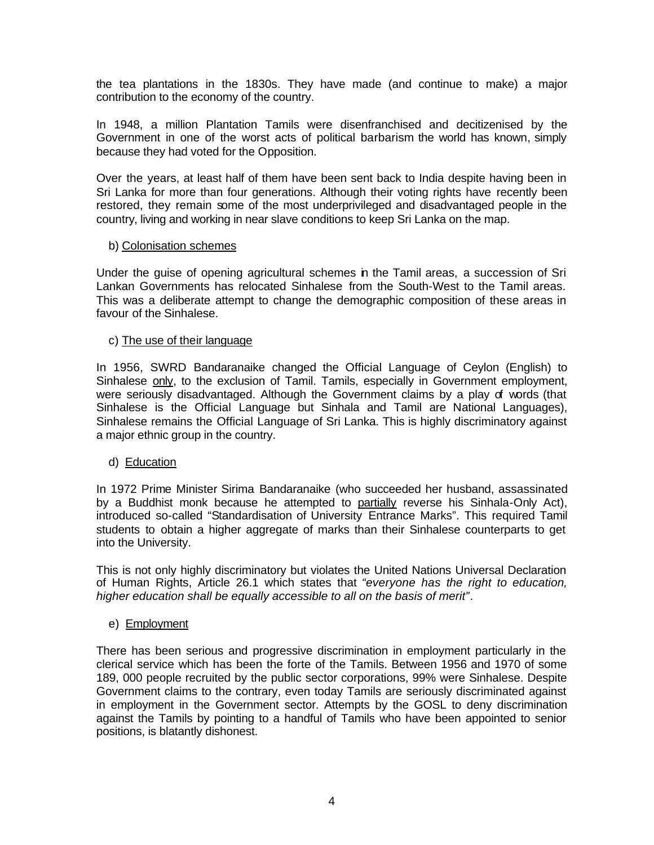the tea plantations in the 1830s. They have made (and continue to make) a major contribution to the economy of the country.

In 1948, a million Plantation Tamils were disenfranchised and decitizenised by the Government in one of the worst acts of political barbarism the world has known, simply because they had voted for the Opposition.

Over the years, at least half of them have been sent back to India despite having been in Sri Lanka for more than four generations. Although their voting rights have recently been restored, they remain some of the most underprivileged and disadvantaged people in the country, living and working in near slave conditions to keep Sri Lanka on the map.

## b) Colonisation schemes

Under the guise of opening agricultural schemes in the Tamil areas, a succession of Sri Lankan Governments has relocated Sinhalese from the South-West to the Tamil areas. This was a deliberate attempt to change the demographic composition of these areas in favour of the Sinhalese.

## c) The use of their language

In 1956, SWRD Bandaranaike changed the Official Language of Ceylon (English) to Sinhalese only, to the exclusion of Tamil. Tamils, especially in Government employment, were seriously disadvantaged. Although the Government claims by a play of words (that Sinhalese is the Official Language but Sinhala and Tamil are National Languages), Sinhalese remains the Official Language of Sri Lanka. This is highly discriminatory against a major ethnic group in the country.

## d) Education

In 1972 Prime Minister Sirima Bandaranaike (who succeeded her husband, assassinated by a Buddhist monk because he attempted to partially reverse his Sinhala-Only Act), introduced so-called "Standardisation of University Entrance Marks". This required Tamil students to obtain a higher aggregate of marks than their Sinhalese counterparts to get into the University.

This is not only highly discriminatory but violates the United Nations Universal Declaration of Human Rights, Article 26.1 which states that *"everyone has the right to education, higher education shall be equally accessible to all on the basis of merit"*.

## e) Employment

There has been serious and progressive discrimination in employment particularly in the clerical service which has been the forte of the Tamils. Between 1956 and 1970 of some 189, 000 people recruited by the public sector corporations, 99% were Sinhalese. Despite Government claims to the contrary, even today Tamils are seriously discriminated against in employment in the Government sector. Attempts by the GOSL to deny discrimination against the Tamils by pointing to a handful of Tamils who have been appointed to senior positions, is blatantly dishonest.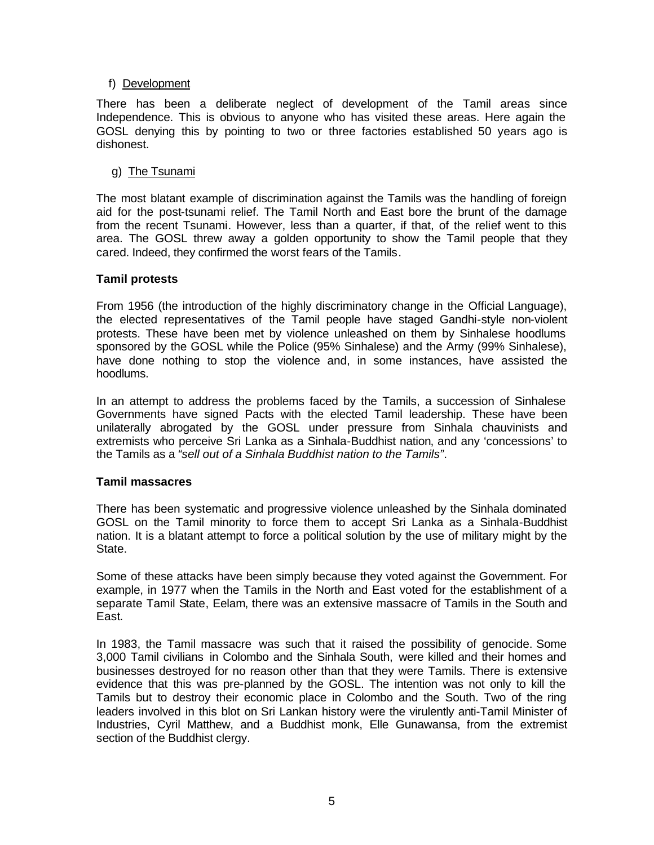## f) Development

There has been a deliberate neglect of development of the Tamil areas since Independence. This is obvious to anyone who has visited these areas. Here again the GOSL denying this by pointing to two or three factories established 50 years ago is dishonest.

## g) The Tsunami

The most blatant example of discrimination against the Tamils was the handling of foreign aid for the post-tsunami relief. The Tamil North and East bore the brunt of the damage from the recent Tsunami. However, less than a quarter, if that, of the relief went to this area. The GOSL threw away a golden opportunity to show the Tamil people that they cared. Indeed, they confirmed the worst fears of the Tamils.

## **Tamil protests**

From 1956 (the introduction of the highly discriminatory change in the Official Language), the elected representatives of the Tamil people have staged Gandhi-style non-violent protests. These have been met by violence unleashed on them by Sinhalese hoodlums sponsored by the GOSL while the Police (95% Sinhalese) and the Army (99% Sinhalese), have done nothing to stop the violence and, in some instances, have assisted the hoodlums.

In an attempt to address the problems faced by the Tamils, a succession of Sinhalese Governments have signed Pacts with the elected Tamil leadership. These have been unilaterally abrogated by the GOSL under pressure from Sinhala chauvinists and extremists who perceive Sri Lanka as a Sinhala-Buddhist nation, and any 'concessions' to the Tamils as a *"sell out of a Sinhala Buddhist nation to the Tamils"*.

### **Tamil massacres**

There has been systematic and progressive violence unleashed by the Sinhala dominated GOSL on the Tamil minority to force them to accept Sri Lanka as a Sinhala-Buddhist nation. It is a blatant attempt to force a political solution by the use of military might by the State.

Some of these attacks have been simply because they voted against the Government. For example, in 1977 when the Tamils in the North and East voted for the establishment of a separate Tamil State, Eelam, there was an extensive massacre of Tamils in the South and East.

In 1983, the Tamil massacre was such that it raised the possibility of genocide. Some 3,000 Tamil civilians in Colombo and the Sinhala South, were killed and their homes and businesses destroyed for no reason other than that they were Tamils. There is extensive evidence that this was pre-planned by the GOSL. The intention was not only to kill the Tamils but to destroy their economic place in Colombo and the South. Two of the ring leaders involved in this blot on Sri Lankan history were the virulently anti-Tamil Minister of Industries, Cyril Matthew, and a Buddhist monk, Elle Gunawansa, from the extremist section of the Buddhist clergy.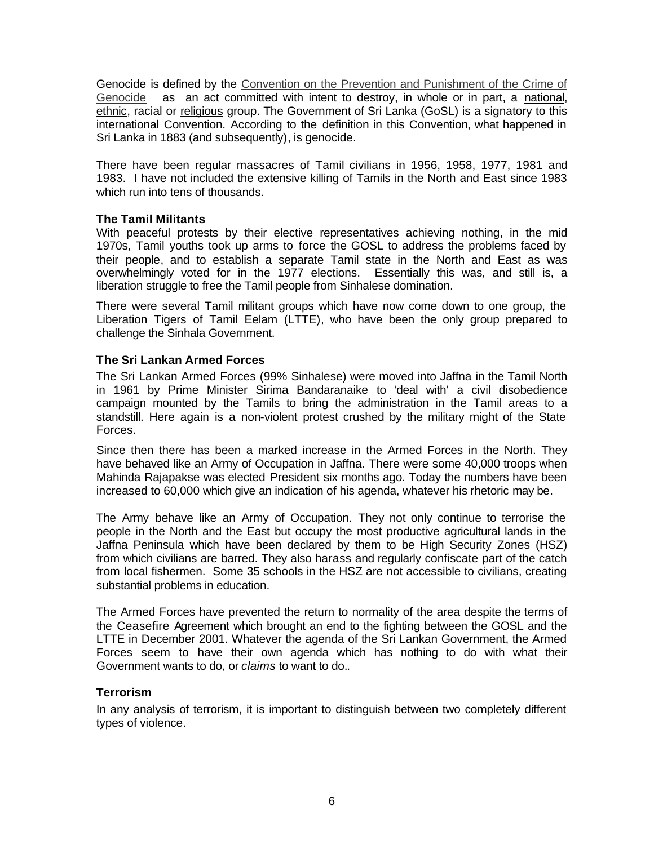Genocide is defined by the Convention on the Prevention and Punishment of the Crime of Genocide as an act committed with intent to destroy, in whole or in part, a national, ethnic, racial or religious group. The Government of Sri Lanka (GoSL) is a signatory to this international Convention. According to the definition in this Convention, what happened in Sri Lanka in 1883 (and subsequently), is genocide.

There have been regular massacres of Tamil civilians in 1956, 1958, 1977, 1981 and 1983. I have not included the extensive killing of Tamils in the North and East since 1983 which run into tens of thousands.

## **The Tamil Militants**

With peaceful protests by their elective representatives achieving nothing, in the mid 1970s, Tamil youths took up arms to force the GOSL to address the problems faced by their people, and to establish a separate Tamil state in the North and East as was overwhelmingly voted for in the 1977 elections. Essentially this was, and still is, a liberation struggle to free the Tamil people from Sinhalese domination.

There were several Tamil militant groups which have now come down to one group, the Liberation Tigers of Tamil Eelam (LTTE), who have been the only group prepared to challenge the Sinhala Government.

## **The Sri Lankan Armed Forces**

The Sri Lankan Armed Forces (99% Sinhalese) were moved into Jaffna in the Tamil North in 1961 by Prime Minister Sirima Bandaranaike to 'deal with' a civil disobedience campaign mounted by the Tamils to bring the administration in the Tamil areas to a standstill. Here again is a non-violent protest crushed by the military might of the State Forces.

Since then there has been a marked increase in the Armed Forces in the North. They have behaved like an Army of Occupation in Jaffna. There were some 40,000 troops when Mahinda Rajapakse was elected President six months ago. Today the numbers have been increased to 60,000 which give an indication of his agenda, whatever his rhetoric may be.

The Army behave like an Army of Occupation. They not only continue to terrorise the people in the North and the East but occupy the most productive agricultural lands in the Jaffna Peninsula which have been declared by them to be High Security Zones (HSZ) from which civilians are barred. They also harass and regularly confiscate part of the catch from local fishermen. Some 35 schools in the HSZ are not accessible to civilians, creating substantial problems in education.

The Armed Forces have prevented the return to normality of the area despite the terms of the Ceasefire Agreement which brought an end to the fighting between the GOSL and the LTTE in December 2001. Whatever the agenda of the Sri Lankan Government, the Armed Forces seem to have their own agenda which has nothing to do with what their Government wants to do, or *claims* to want to do..

### **Terrorism**

In any analysis of terrorism, it is important to distinguish between two completely different types of violence.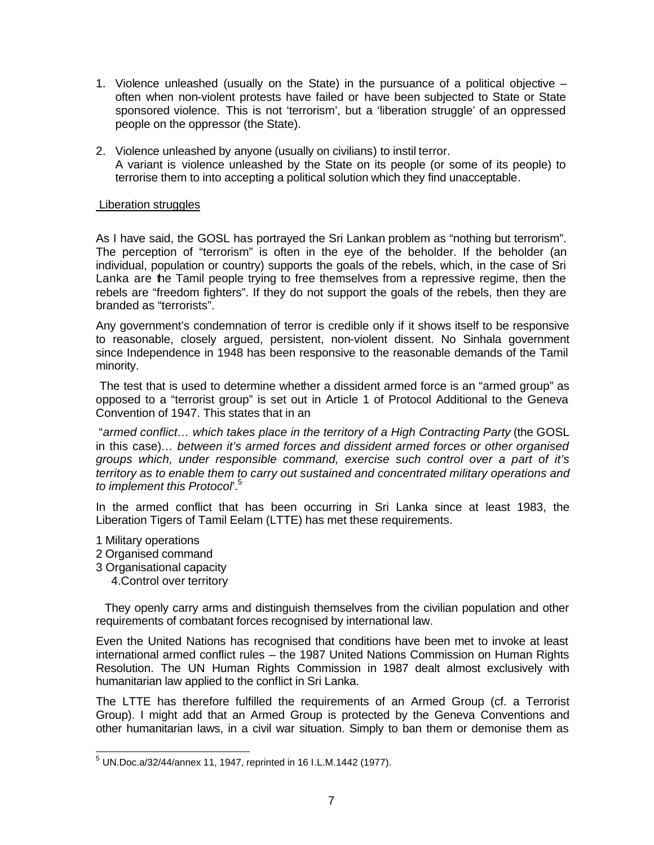- 1. Violence unleashed (usually on the State) in the pursuance of a political objective often when non-violent protests have failed or have been subjected to State or State sponsored violence. This is not 'terrorism', but a 'liberation struggle' of an oppressed people on the oppressor (the State).
- 2. Violence unleashed by anyone (usually on civilians) to instil terror. A variant is violence unleashed by the State on its people (or some of its people) to terrorise them to into accepting a political solution which they find unacceptable.

## Liberation struggles

As I have said, the GOSL has portrayed the Sri Lankan problem as "nothing but terrorism". The perception of "terrorism" is often in the eye of the beholder. If the beholder (an individual, population or country) supports the goals of the rebels, which, in the case of Sri Lanka are the Tamil people trying to free themselves from a repressive regime, then the rebels are "freedom fighters". If they do not support the goals of the rebels, then they are branded as "terrorists".

Any government's condemnation of terror is credible only if it shows itself to be responsive to reasonable, closely argued, persistent, non-violent dissent. No Sinhala government since Independence in 1948 has been responsive to the reasonable demands of the Tamil minority.

 The test that is used to determine whether a dissident armed force is an "armed group" as opposed to a "terrorist group" is set out in Article 1 of Protocol Additional to the Geneva Convention of 1947. This states that in an

 "*armed conflict… which takes place in the territory of a High Contracting Party* (the GOSL in this case)*… between it's armed forces and dissident armed forces or other organised groups which, under responsible command, exercise such control over a part of it's territory as to enable them to carry out sustained and concentrated military operations and to implement this Protocol*'.<sup>5</sup>

In the armed conflict that has been occurring in Sri Lanka since at least 1983, the Liberation Tigers of Tamil Eelam (LTTE) has met these requirements.

- 1 Military operations
- 2 Organised command
- 3 Organisational capacity
	- 4.Control over territory

 They openly carry arms and distinguish themselves from the civilian population and other requirements of combatant forces recognised by international law.

Even the United Nations has recognised that conditions have been met to invoke at least international armed conflict rules – the 1987 United Nations Commission on Human Rights Resolution. The UN Human Rights Commission in 1987 dealt almost exclusively with humanitarian law applied to the conflict in Sri Lanka.

The LTTE has therefore fulfilled the requirements of an Armed Group (cf. a Terrorist Group). I might add that an Armed Group is protected by the Geneva Conventions and other humanitarian laws, in a civil war situation. Simply to ban them or demonise them as

 5 UN.Doc.a/32/44/annex 11, 1947, reprinted in 16 I.L.M.1442 (1977).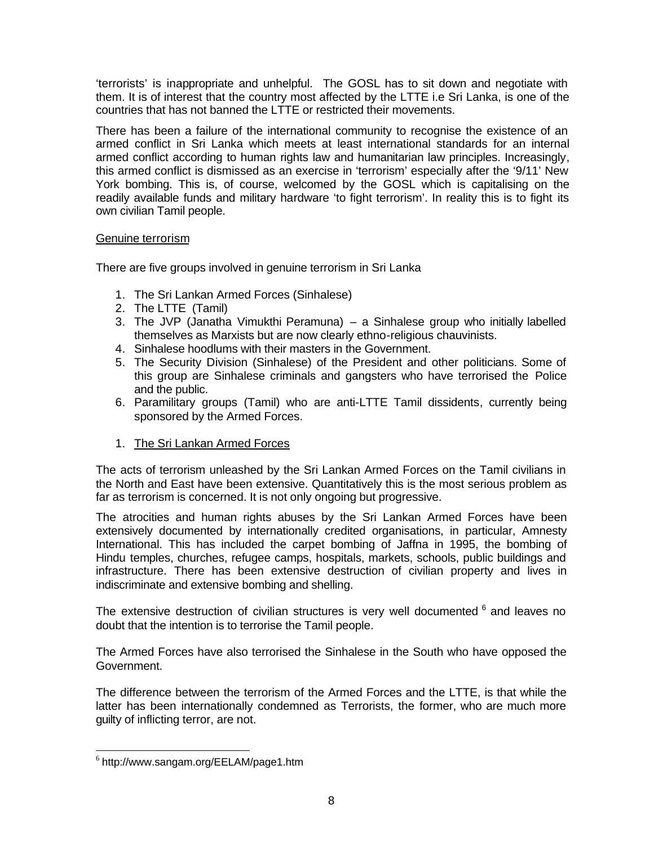'terrorists' is inappropriate and unhelpful. The GOSL has to sit down and negotiate with them. It is of interest that the country most affected by the LTTE i.e Sri Lanka, is one of the countries that has not banned the LTTE or restricted their movements.

There has been a failure of the international community to recognise the existence of an armed conflict in Sri Lanka which meets at least international standards for an internal armed conflict according to human rights law and humanitarian law principles. Increasingly, this armed conflict is dismissed as an exercise in 'terrorism' especially after the '9/11' New York bombing. This is, of course, welcomed by the GOSL which is capitalising on the readily available funds and military hardware 'to fight terrorism'. In reality this is to fight its own civilian Tamil people.

## Genuine terrorism

There are five groups involved in genuine terrorism in Sri Lanka

- 1. The Sri Lankan Armed Forces (Sinhalese)
- 2. The LTTE (Tamil)
- 3. The JVP (Janatha Vimukthi Peramuna) a Sinhalese group who initially labelled themselves as Marxists but are now clearly ethno-religious chauvinists.
- 4. Sinhalese hoodlums with their masters in the Government.
- 5. The Security Division (Sinhalese) of the President and other politicians. Some of this group are Sinhalese criminals and gangsters who have terrorised the Police and the public.
- 6. Paramilitary groups (Tamil) who are anti-LTTE Tamil dissidents, currently being sponsored by the Armed Forces.
- 1. The Sri Lankan Armed Forces

The acts of terrorism unleashed by the Sri Lankan Armed Forces on the Tamil civilians in the North and East have been extensive. Quantitatively this is the most serious problem as far as terrorism is concerned. It is not only ongoing but progressive.

The atrocities and human rights abuses by the Sri Lankan Armed Forces have been extensively documented by internationally credited organisations, in particular, Amnesty International. This has included the carpet bombing of Jaffna in 1995, the bombing of Hindu temples, churches, refugee camps, hospitals, markets, schools, public buildings and infrastructure. There has been extensive destruction of civilian property and lives in indiscriminate and extensive bombing and shelling.

The extensive destruction of civilian structures is very well documented  $6$  and leaves no doubt that the intention is to terrorise the Tamil people.

The Armed Forces have also terrorised the Sinhalese in the South who have opposed the Government.

The difference between the terrorism of the Armed Forces and the LTTE, is that while the latter has been internationally condemned as Terrorists, the former, who are much more guilty of inflicting terror, are not.

 6 http://www.sangam.org/EELAM/page1.htm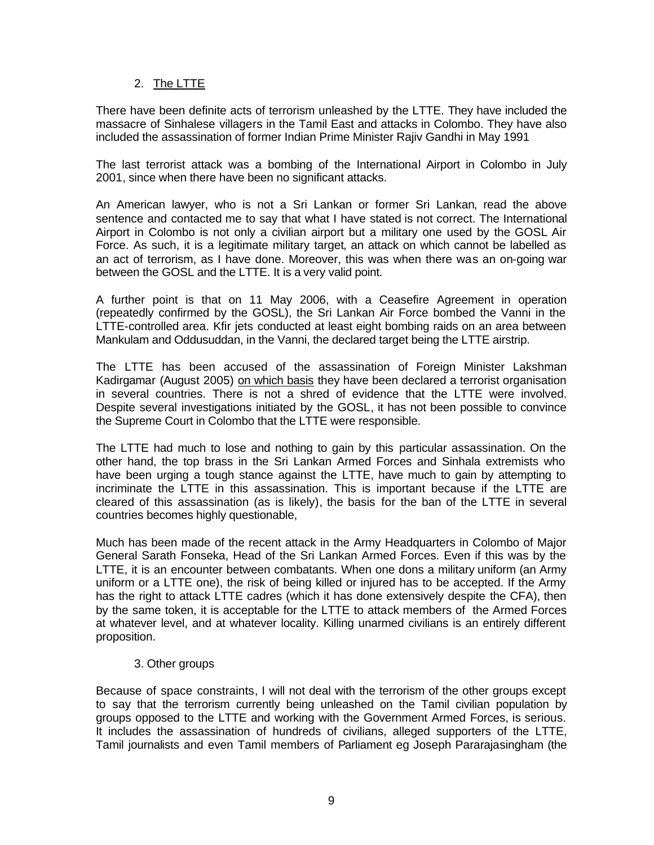# 2. The LTTE

There have been definite acts of terrorism unleashed by the LTTE. They have included the massacre of Sinhalese villagers in the Tamil East and attacks in Colombo. They have also included the assassination of former Indian Prime Minister Rajiv Gandhi in May 1991

The last terrorist attack was a bombing of the International Airport in Colombo in July 2001, since when there have been no significant attacks.

An American lawyer, who is not a Sri Lankan or former Sri Lankan, read the above sentence and contacted me to say that what I have stated is not correct. The International Airport in Colombo is not only a civilian airport but a military one used by the GOSL Air Force. As such, it is a legitimate military target, an attack on which cannot be labelled as an act of terrorism, as I have done. Moreover, this was when there was an on-going war between the GOSL and the LTTE. It is a very valid point.

A further point is that on 11 May 2006, with a Ceasefire Agreement in operation (repeatedly confirmed by the GOSL), the Sri Lankan Air Force bombed the Vanni in the LTTE-controlled area. Kfir jets conducted at least eight bombing raids on an area between Mankulam and Oddusuddan, in the Vanni, the declared target being the LTTE airstrip.

The LTTE has been accused of the assassination of Foreign Minister Lakshman Kadirgamar (August 2005) on which basis they have been declared a terrorist organisation in several countries. There is not a shred of evidence that the LTTE were involved. Despite several investigations initiated by the GOSL, it has not been possible to convince the Supreme Court in Colombo that the LTTE were responsible.

The LTTE had much to lose and nothing to gain by this particular assassination. On the other hand, the top brass in the Sri Lankan Armed Forces and Sinhala extremists who have been urging a tough stance against the LTTE, have much to gain by attempting to incriminate the LTTE in this assassination. This is important because if the LTTE are cleared of this assassination (as is likely), the basis for the ban of the LTTE in several countries becomes highly questionable,

Much has been made of the recent attack in the Army Headquarters in Colombo of Major General Sarath Fonseka, Head of the Sri Lankan Armed Forces. Even if this was by the LTTE, it is an encounter between combatants. When one dons a military uniform (an Army uniform or a LTTE one), the risk of being killed or injured has to be accepted. If the Army has the right to attack LTTE cadres (which it has done extensively despite the CFA), then by the same token, it is acceptable for the LTTE to attack members of the Armed Forces at whatever level, and at whatever locality. Killing unarmed civilians is an entirely different proposition.

## 3. Other groups

Because of space constraints, I will not deal with the terrorism of the other groups except to say that the terrorism currently being unleashed on the Tamil civilian population by groups opposed to the LTTE and working with the Government Armed Forces, is serious. It includes the assassination of hundreds of civilians, alleged supporters of the LTTE, Tamil journalists and even Tamil members of Parliament eg Joseph Pararajasingham (the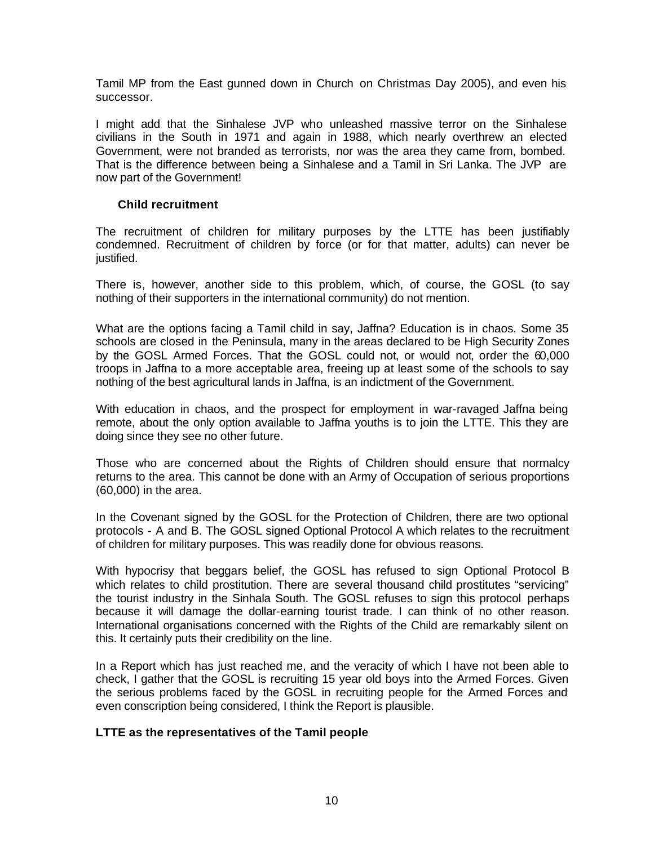Tamil MP from the East gunned down in Church on Christmas Day 2005), and even his successor.

I might add that the Sinhalese JVP who unleashed massive terror on the Sinhalese civilians in the South in 1971 and again in 1988, which nearly overthrew an elected Government, were not branded as terrorists, nor was the area they came from, bombed. That is the difference between being a Sinhalese and a Tamil in Sri Lanka. The JVP are now part of the Government!

## **Child recruitment**

The recruitment of children for military purposes by the LTTE has been justifiably condemned. Recruitment of children by force (or for that matter, adults) can never be justified.

There is, however, another side to this problem, which, of course, the GOSL (to say nothing of their supporters in the international community) do not mention.

What are the options facing a Tamil child in say, Jaffna? Education is in chaos. Some 35 schools are closed in the Peninsula, many in the areas declared to be High Security Zones by the GOSL Armed Forces. That the GOSL could not, or would not, order the 60,000 troops in Jaffna to a more acceptable area, freeing up at least some of the schools to say nothing of the best agricultural lands in Jaffna, is an indictment of the Government.

With education in chaos, and the prospect for employment in war-ravaged Jaffna being remote, about the only option available to Jaffna youths is to join the LTTE. This they are doing since they see no other future.

Those who are concerned about the Rights of Children should ensure that normalcy returns to the area. This cannot be done with an Army of Occupation of serious proportions (60,000) in the area.

In the Covenant signed by the GOSL for the Protection of Children, there are two optional protocols - A and B. The GOSL signed Optional Protocol A which relates to the recruitment of children for military purposes. This was readily done for obvious reasons.

With hypocrisy that beggars belief, the GOSL has refused to sign Optional Protocol B which relates to child prostitution. There are several thousand child prostitutes "servicing" the tourist industry in the Sinhala South. The GOSL refuses to sign this protocol perhaps because it will damage the dollar-earning tourist trade. I can think of no other reason. International organisations concerned with the Rights of the Child are remarkably silent on this. It certainly puts their credibility on the line.

In a Report which has just reached me, and the veracity of which I have not been able to check, I gather that the GOSL is recruiting 15 year old boys into the Armed Forces. Given the serious problems faced by the GOSL in recruiting people for the Armed Forces and even conscription being considered, I think the Report is plausible.

## **LTTE as the representatives of the Tamil people**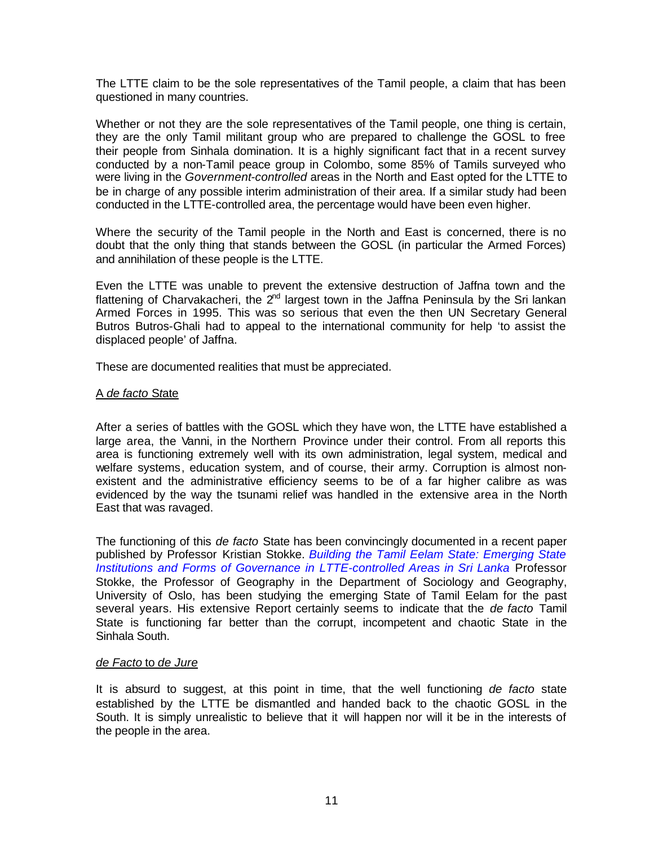The LTTE claim to be the sole representatives of the Tamil people, a claim that has been questioned in many countries.

Whether or not they are the sole representatives of the Tamil people, one thing is certain, they are the only Tamil militant group who are prepared to challenge the GOSL to free their people from Sinhala domination. It is a highly significant fact that in a recent survey conducted by a non-Tamil peace group in Colombo, some 85% of Tamils surveyed who were living in the *Government-controlled* areas in the North and East opted for the LTTE to be in charge of any possible interim administration of their area. If a similar study had been conducted in the LTTE-controlled area, the percentage would have been even higher.

Where the security of the Tamil people in the North and East is concerned, there is no doubt that the only thing that stands between the GOSL (in particular the Armed Forces) and annihilation of these people is the LTTE.

Even the LTTE was unable to prevent the extensive destruction of Jaffna town and the flattening of Charvakacheri, the  $2<sup>nd</sup>$  largest town in the Jaffna Peninsula by the Sri lankan Armed Forces in 1995. This was so serious that even the then UN Secretary General Butros Butros-Ghali had to appeal to the international community for help 'to assist the displaced people' of Jaffna.

These are documented realities that must be appreciated.

### A *de facto* S*t*ate

After a series of battles with the GOSL which they have won, the LTTE have established a large area, the Vanni, in the Northern Province under their control. From all reports this area is functioning extremely well with its own administration, legal system, medical and welfare systems, education system, and of course, their army. Corruption is almost nonexistent and the administrative efficiency seems to be of a far higher calibre as was evidenced by the way the tsunami relief was handled in the extensive area in the North East that was ravaged.

The functioning of this *de facto* State has been convincingly documented in a recent paper published by Professor Kristian Stokke. *Building the Tamil Eelam State: Emerging State Institutions and Forms of Governance in LTTE-controlled Areas in Sri Lanka* Professor Stokke, the Professor of Geography in the Department of Sociology and Geography, University of Oslo, has been studying the emerging State of Tamil Eelam for the past several years. His extensive Report certainly seems to indicate that the *de facto* Tamil State is functioning far better than the corrupt, incompetent and chaotic State in the Sinhala South.

### *de Facto* to *de Jure*

It is absurd to suggest, at this point in time, that the well functioning *de facto* state established by the LTTE be dismantled and handed back to the chaotic GOSL in the South. It is simply unrealistic to believe that it will happen nor will it be in the interests of the people in the area.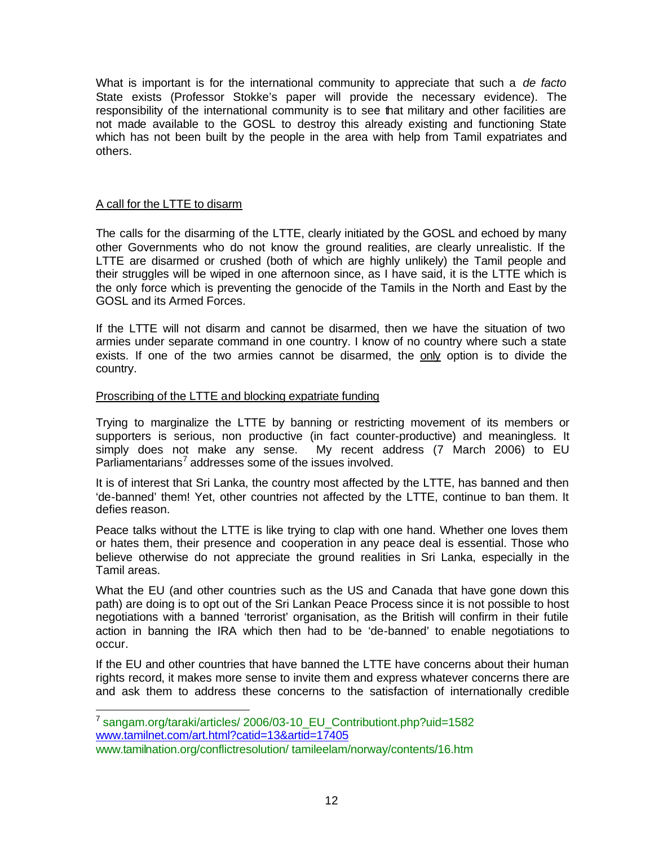What is important is for the international community to appreciate that such a *de facto* State exists (Professor Stokke's paper will provide the necessary evidence). The responsibility of the international community is to see that military and other facilities are not made available to the GOSL to destroy this already existing and functioning State which has not been built by the people in the area with help from Tamil expatriates and others.

## A call for the LTTE to disarm

 $\overline{a}$ 

The calls for the disarming of the LTTE, clearly initiated by the GOSL and echoed by many other Governments who do not know the ground realities, are clearly unrealistic. If the LTTE are disarmed or crushed (both of which are highly unlikely) the Tamil people and their struggles will be wiped in one afternoon since, as I have said, it is the LTTE which is the only force which is preventing the genocide of the Tamils in the North and East by the GOSL and its Armed Forces.

If the LTTE will not disarm and cannot be disarmed, then we have the situation of two armies under separate command in one country. I know of no country where such a state exists. If one of the two armies cannot be disarmed, the only option is to divide the country.

## Proscribing of the LTTE and blocking expatriate funding

Trying to marginalize the LTTE by banning or restricting movement of its members or supporters is serious, non productive (in fact counter-productive) and meaningless. It simply does not make any sense. My recent address (7 March 2006) to EU Parliamentarians<sup>7</sup> addresses some of the issues involved.

It is of interest that Sri Lanka, the country most affected by the LTTE, has banned and then 'de-banned' them! Yet, other countries not affected by the LTTE, continue to ban them. It defies reason.

Peace talks without the LTTE is like trying to clap with one hand. Whether one loves them or hates them, their presence and cooperation in any peace deal is essential. Those who believe otherwise do not appreciate the ground realities in Sri Lanka, especially in the Tamil areas.

What the EU (and other countries such as the US and Canada that have gone down this path) are doing is to opt out of the Sri Lankan Peace Process since it is not possible to host negotiations with a banned 'terrorist' organisation, as the British will confirm in their futile action in banning the IRA which then had to be 'de-banned' to enable negotiations to occur.

If the EU and other countries that have banned the LTTE have concerns about their human rights record, it makes more sense to invite them and express whatever concerns there are and ask them to address these concerns to the satisfaction of internationally credible

<sup>&</sup>lt;sup>7</sup> sangam.org/taraki/articles/ 2006/03-10\_EU\_Contributiont.php?uid=1582 www.tamilnet.com/art.html?catid=13&artid=17405

www.tamilnation.org/conflictresolution/ tamileelam/norway/contents/16.htm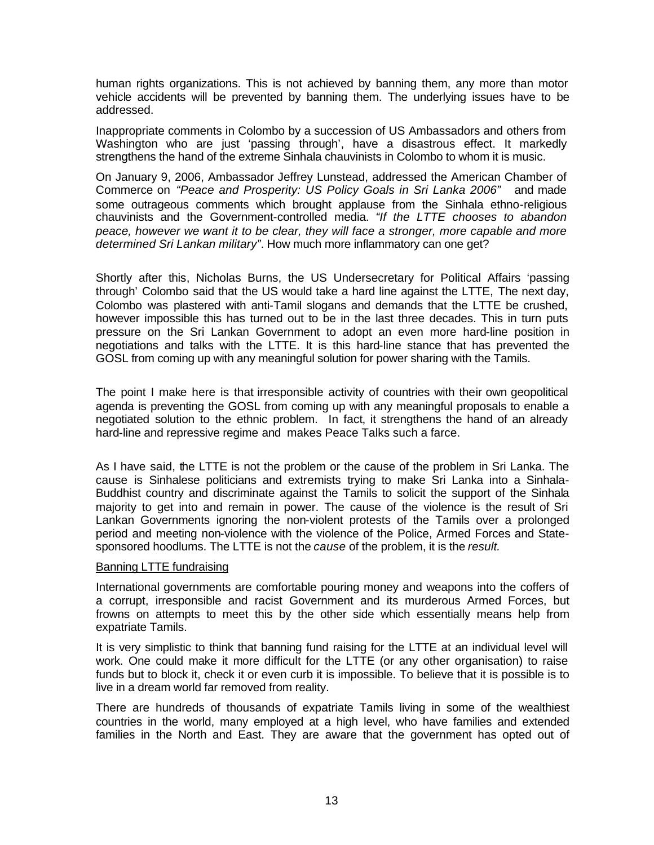human rights organizations. This is not achieved by banning them, any more than motor vehicle accidents will be prevented by banning them. The underlying issues have to be addressed.

Inappropriate comments in Colombo by a succession of US Ambassadors and others from Washington who are just 'passing through', have a disastrous effect. It markedly strengthens the hand of the extreme Sinhala chauvinists in Colombo to whom it is music.

On January 9, 2006, Ambassador Jeffrey Lunstead, addressed the American Chamber of Commerce on *"Peace and Prosperity: US Policy Goals in Sri Lanka 2006"* and made some outrageous comments which brought applause from the Sinhala ethno-religious chauvinists and the Government-controlled media. *"If the LTTE chooses to abandon peace, however we want it to be clear, they will face a stronger, more capable and more determined Sri Lankan military"*. How much more inflammatory can one get?

Shortly after this, Nicholas Burns, the US Undersecretary for Political Affairs 'passing through' Colombo said that the US would take a hard line against the LTTE, The next day, Colombo was plastered with anti-Tamil slogans and demands that the LTTE be crushed, however impossible this has turned out to be in the last three decades. This in turn puts pressure on the Sri Lankan Government to adopt an even more hard-line position in negotiations and talks with the LTTE. It is this hard-line stance that has prevented the GOSL from coming up with any meaningful solution for power sharing with the Tamils.

The point I make here is that irresponsible activity of countries with their own geopolitical agenda is preventing the GOSL from coming up with any meaningful proposals to enable a negotiated solution to the ethnic problem. In fact, it strengthens the hand of an already hard-line and repressive regime and makes Peace Talks such a farce.

As I have said, the LTTE is not the problem or the cause of the problem in Sri Lanka. The cause is Sinhalese politicians and extremists trying to make Sri Lanka into a Sinhala-Buddhist country and discriminate against the Tamils to solicit the support of the Sinhala majority to get into and remain in power. The cause of the violence is the result of Sri Lankan Governments ignoring the non-violent protests of the Tamils over a prolonged period and meeting non-violence with the violence of the Police, Armed Forces and Statesponsored hoodlums. The LTTE is not the *cause* of the problem, it is the *result.*

### Banning LTTE fundraising

International governments are comfortable pouring money and weapons into the coffers of a corrupt, irresponsible and racist Government and its murderous Armed Forces, but frowns on attempts to meet this by the other side which essentially means help from expatriate Tamils.

It is very simplistic to think that banning fund raising for the LTTE at an individual level will work. One could make it more difficult for the LTTE (or any other organisation) to raise funds but to block it, check it or even curb it is impossible. To believe that it is possible is to live in a dream world far removed from reality.

There are hundreds of thousands of expatriate Tamils living in some of the wealthiest countries in the world, many employed at a high level, who have families and extended families in the North and East. They are aware that the government has opted out of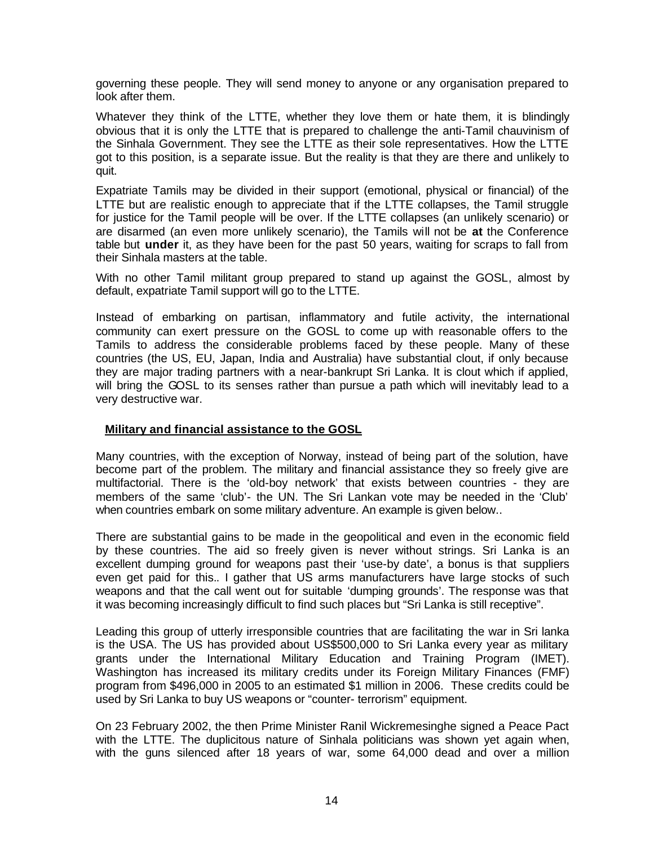governing these people. They will send money to anyone or any organisation prepared to look after them.

Whatever they think of the LTTE, whether they love them or hate them, it is blindingly obvious that it is only the LTTE that is prepared to challenge the anti-Tamil chauvinism of the Sinhala Government. They see the LTTE as their sole representatives. How the LTTE got to this position, is a separate issue. But the reality is that they are there and unlikely to quit.

Expatriate Tamils may be divided in their support (emotional, physical or financial) of the LTTE but are realistic enough to appreciate that if the LTTE collapses, the Tamil struggle for justice for the Tamil people will be over. If the LTTE collapses (an unlikely scenario) or are disarmed (an even more unlikely scenario), the Tamils will not be **at** the Conference table but **under** it, as they have been for the past 50 years, waiting for scraps to fall from their Sinhala masters at the table.

With no other Tamil militant group prepared to stand up against the GOSL, almost by default, expatriate Tamil support will go to the LTTE.

Instead of embarking on partisan, inflammatory and futile activity, the international community can exert pressure on the GOSL to come up with reasonable offers to the Tamils to address the considerable problems faced by these people. Many of these countries (the US, EU, Japan, India and Australia) have substantial clout, if only because they are major trading partners with a near-bankrupt Sri Lanka. It is clout which if applied, will bring the GOSL to its senses rather than pursue a path which will inevitably lead to a very destructive war.

### **Military and financial assistance to the GOSL**

Many countries, with the exception of Norway, instead of being part of the solution, have become part of the problem. The military and financial assistance they so freely give are multifactorial. There is the 'old-boy network' that exists between countries - they are members of the same 'club'- the UN. The Sri Lankan vote may be needed in the 'Club' when countries embark on some military adventure. An example is given below..

There are substantial gains to be made in the geopolitical and even in the economic field by these countries. The aid so freely given is never without strings. Sri Lanka is an excellent dumping ground for weapons past their 'use-by date', a bonus is that suppliers even get paid for this.. I gather that US arms manufacturers have large stocks of such weapons and that the call went out for suitable 'dumping grounds'. The response was that it was becoming increasingly difficult to find such places but "Sri Lanka is still receptive".

Leading this group of utterly irresponsible countries that are facilitating the war in Sri lanka is the USA. The US has provided about US\$500,000 to Sri Lanka every year as military grants under the International Military Education and Training Program (IMET). Washington has increased its military credits under its Foreign Military Finances (FMF) program from \$496,000 in 2005 to an estimated \$1 million in 2006. These credits could be used by Sri Lanka to buy US weapons or "counter- terrorism" equipment.

On 23 February 2002, the then Prime Minister Ranil Wickremesinghe signed a Peace Pact with the LTTE. The duplicitous nature of Sinhala politicians was shown yet again when, with the guns silenced after 18 years of war, some 64,000 dead and over a million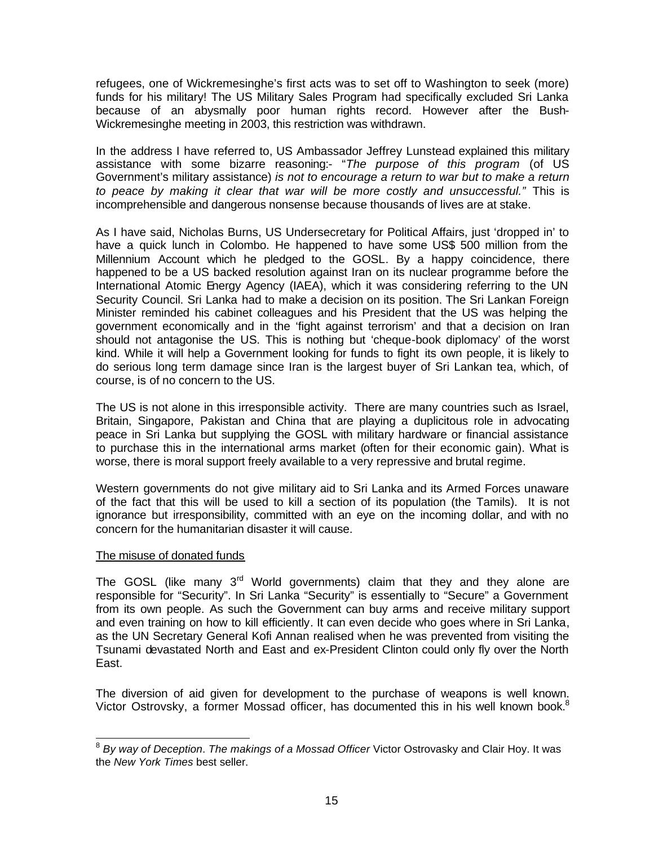refugees, one of Wickremesinghe's first acts was to set off to Washington to seek (more) funds for his military! The US Military Sales Program had specifically excluded Sri Lanka because of an abysmally poor human rights record. However after the Bush-Wickremesinghe meeting in 2003, this restriction was withdrawn.

In the address I have referred to, US Ambassador Jeffrey Lunstead explained this military assistance with some bizarre reasoning:- "The purpose of this program (of US Government's military assistance) *is not to encourage a return to war but to make a return to peace by making it clear that war will be more costly and unsuccessful."* This is incomprehensible and dangerous nonsense because thousands of lives are at stake.

As I have said, Nicholas Burns, US Undersecretary for Political Affairs, just 'dropped in' to have a quick lunch in Colombo. He happened to have some US\$ 500 million from the Millennium Account which he pledged to the GOSL. By a happy coincidence, there happened to be a US backed resolution against Iran on its nuclear programme before the International Atomic Energy Agency (IAEA), which it was considering referring to the UN Security Council. Sri Lanka had to make a decision on its position. The Sri Lankan Foreign Minister reminded his cabinet colleagues and his President that the US was helping the government economically and in the 'fight against terrorism' and that a decision on Iran should not antagonise the US. This is nothing but 'cheque-book diplomacy' of the worst kind. While it will help a Government looking for funds to fight its own people, it is likely to do serious long term damage since Iran is the largest buyer of Sri Lankan tea, which, of course, is of no concern to the US.

The US is not alone in this irresponsible activity. There are many countries such as Israel, Britain, Singapore, Pakistan and China that are playing a duplicitous role in advocating peace in Sri Lanka but supplying the GOSL with military hardware or financial assistance to purchase this in the international arms market (often for their economic gain). What is worse, there is moral support freely available to a very repressive and brutal regime.

Western governments do not give military aid to Sri Lanka and its Armed Forces unaware of the fact that this will be used to kill a section of its population (the Tamils). It is not ignorance but irresponsibility, committed with an eye on the incoming dollar, and with no concern for the humanitarian disaster it will cause.

### The misuse of donated funds

The GOSL (like many  $3<sup>rd</sup>$  World governments) claim that they and they alone are responsible for "Security". In Sri Lanka "Security" is essentially to "Secure" a Government from its own people. As such the Government can buy arms and receive military support and even training on how to kill efficiently. It can even decide who goes where in Sri Lanka, as the UN Secretary General Kofi Annan realised when he was prevented from visiting the Tsunami devastated North and East and ex-President Clinton could only fly over the North East.

The diversion of aid given for development to the purchase of weapons is well known. Victor Ostrovsky, a former Mossad officer, has documented this in his well known book. $8$ 

 $\overline{a}$ <sup>8</sup> *By way of Deception*. *The makings of a Mossad Officer* Victor Ostrovasky and Clair Hoy. It was the *New York Times* best seller.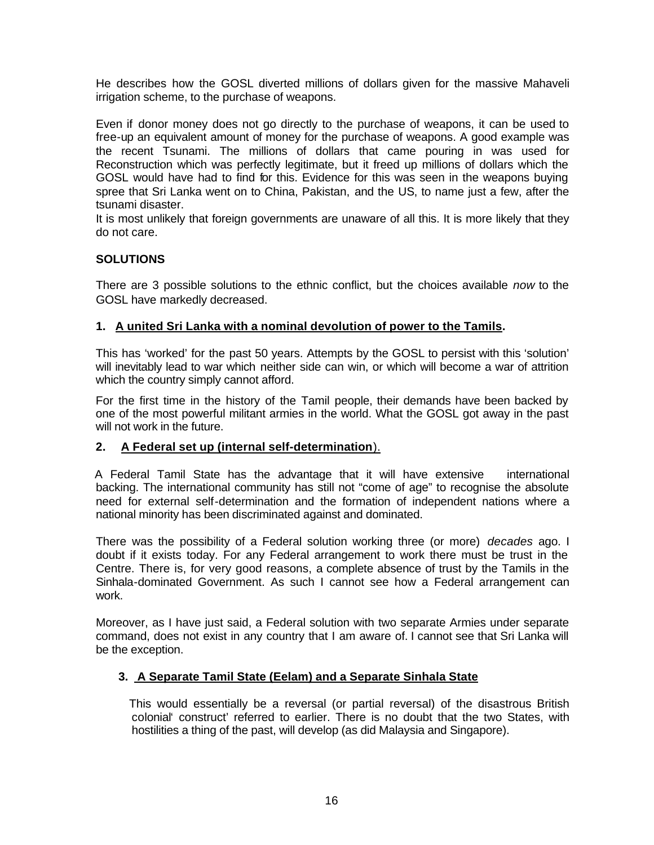He describes how the GOSL diverted millions of dollars given for the massive Mahaveli irrigation scheme, to the purchase of weapons.

Even if donor money does not go directly to the purchase of weapons, it can be used to free-up an equivalent amount of money for the purchase of weapons. A good example was the recent Tsunami. The millions of dollars that came pouring in was used for Reconstruction which was perfectly legitimate, but it freed up millions of dollars which the GOSL would have had to find for this. Evidence for this was seen in the weapons buying spree that Sri Lanka went on to China, Pakistan, and the US, to name just a few, after the tsunami disaster.

It is most unlikely that foreign governments are unaware of all this. It is more likely that they do not care.

# **SOLUTIONS**

There are 3 possible solutions to the ethnic conflict, but the choices available *now* to the GOSL have markedly decreased.

## **1. A united Sri Lanka with a nominal devolution of power to the Tamils.**

This has 'worked' for the past 50 years. Attempts by the GOSL to persist with this 'solution' will inevitably lead to war which neither side can win, or which will become a war of attrition which the country simply cannot afford.

For the first time in the history of the Tamil people, their demands have been backed by one of the most powerful militant armies in the world. What the GOSL got away in the past will not work in the future.

## **2. A Federal set up (internal self-determination**).

 A Federal Tamil State has the advantage that it will have extensive international backing. The international community has still not "come of age" to recognise the absolute need for external self-determination and the formation of independent nations where a national minority has been discriminated against and dominated.

There was the possibility of a Federal solution working three (or more) *decades* ago. I doubt if it exists today. For any Federal arrangement to work there must be trust in the Centre. There is, for very good reasons, a complete absence of trust by the Tamils in the Sinhala-dominated Government. As such I cannot see how a Federal arrangement can work.

Moreover, as I have just said, a Federal solution with two separate Armies under separate command, does not exist in any country that I am aware of. I cannot see that Sri Lanka will be the exception.

## **3. A Separate Tamil State (Eelam) and a Separate Sinhala State**

 This would essentially be a reversal (or partial reversal) of the disastrous British colonial' construct' referred to earlier. There is no doubt that the two States, with hostilities a thing of the past, will develop (as did Malaysia and Singapore).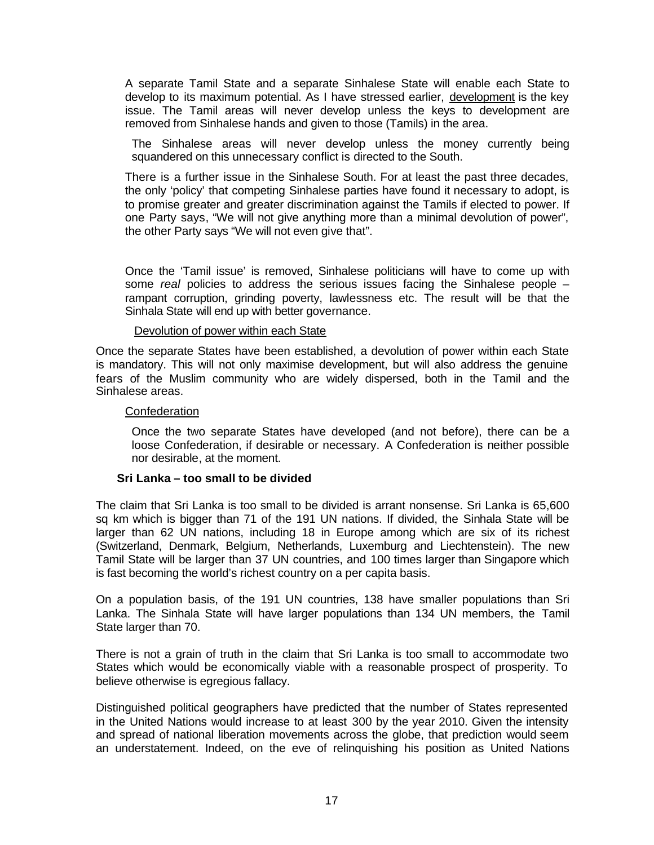A separate Tamil State and a separate Sinhalese State will enable each State to develop to its maximum potential. As I have stressed earlier, development is the key issue. The Tamil areas will never develop unless the keys to development are removed from Sinhalese hands and given to those (Tamils) in the area.

The Sinhalese areas will never develop unless the money currently being squandered on this unnecessary conflict is directed to the South.

There is a further issue in the Sinhalese South. For at least the past three decades, the only 'policy' that competing Sinhalese parties have found it necessary to adopt, is to promise greater and greater discrimination against the Tamils if elected to power. If one Party says, "We will not give anything more than a minimal devolution of power", the other Party says "We will not even give that".

Once the 'Tamil issue' is removed, Sinhalese politicians will have to come up with some *real* policies to address the serious issues facing the Sinhalese people – rampant corruption, grinding poverty, lawlessness etc. The result will be that the Sinhala State will end up with better governance.

#### Devolution of power within each State

Once the separate States have been established, a devolution of power within each State is mandatory. This will not only maximise development, but will also address the genuine fears of the Muslim community who are widely dispersed, both in the Tamil and the Sinhalese areas.

#### **Confederation**

Once the two separate States have developed (and not before), there can be a loose Confederation, if desirable or necessary. A Confederation is neither possible nor desirable, at the moment.

### **Sri Lanka – too small to be divided**

The claim that Sri Lanka is too small to be divided is arrant nonsense. Sri Lanka is 65,600 sq km which is bigger than 71 of the 191 UN nations. If divided, the Sinhala State will be larger than 62 UN nations, including 18 in Europe among which are six of its richest (Switzerland, Denmark, Belgium, Netherlands, Luxemburg and Liechtenstein). The new Tamil State will be larger than 37 UN countries, and 100 times larger than Singapore which is fast becoming the world's richest country on a per capita basis.

On a population basis, of the 191 UN countries, 138 have smaller populations than Sri Lanka. The Sinhala State will have larger populations than 134 UN members, the Tamil State larger than 70.

There is not a grain of truth in the claim that Sri Lanka is too small to accommodate two States which would be economically viable with a reasonable prospect of prosperity. To believe otherwise is egregious fallacy.

Distinguished political geographers have predicted that the number of States represented in the United Nations would increase to at least 300 by the year 2010. Given the intensity and spread of national liberation movements across the globe, that prediction would seem an understatement. Indeed, on the eve of relinquishing his position as United Nations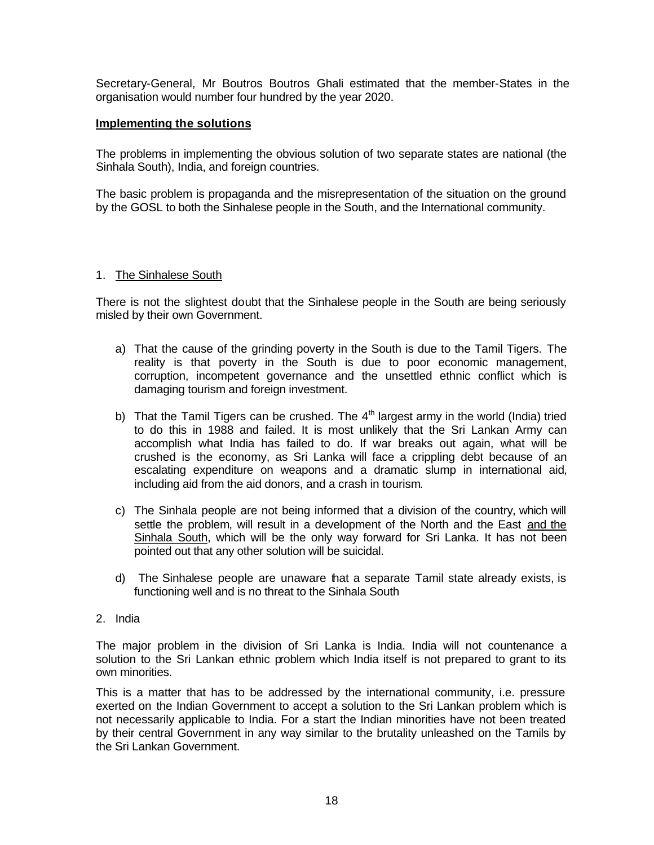Secretary-General, Mr Boutros Boutros Ghali estimated that the member-States in the organisation would number four hundred by the year 2020.

## **Implementing the solutions**

The problems in implementing the obvious solution of two separate states are national (the Sinhala South), India, and foreign countries.

The basic problem is propaganda and the misrepresentation of the situation on the ground by the GOSL to both the Sinhalese people in the South, and the International community.

## 1. The Sinhalese South

There is not the slightest doubt that the Sinhalese people in the South are being seriously misled by their own Government.

- a) That the cause of the grinding poverty in the South is due to the Tamil Tigers. The reality is that poverty in the South is due to poor economic management, corruption, incompetent governance and the unsettled ethnic conflict which is damaging tourism and foreign investment.
- b) That the Tamil Tigers can be crushed. The  $4<sup>th</sup>$  largest army in the world (India) tried to do this in 1988 and failed. It is most unlikely that the Sri Lankan Army can accomplish what India has failed to do. If war breaks out again, what will be crushed is the economy, as Sri Lanka will face a crippling debt because of an escalating expenditure on weapons and a dramatic slump in international aid, including aid from the aid donors, and a crash in tourism.
- c) The Sinhala people are not being informed that a division of the country, which will settle the problem, will result in a development of the North and the East and the Sinhala South, which will be the only way forward for Sri Lanka. It has not been pointed out that any other solution will be suicidal.
- d) The Sinhalese people are unaware that a separate Tamil state already exists, is functioning well and is no threat to the Sinhala South

## 2. India

The major problem in the division of Sri Lanka is India. India will not countenance a solution to the Sri Lankan ethnic problem which India itself is not prepared to grant to its own minorities.

This is a matter that has to be addressed by the international community, i.e. pressure exerted on the Indian Government to accept a solution to the Sri Lankan problem which is not necessarily applicable to India. For a start the Indian minorities have not been treated by their central Government in any way similar to the brutality unleashed on the Tamils by the Sri Lankan Government.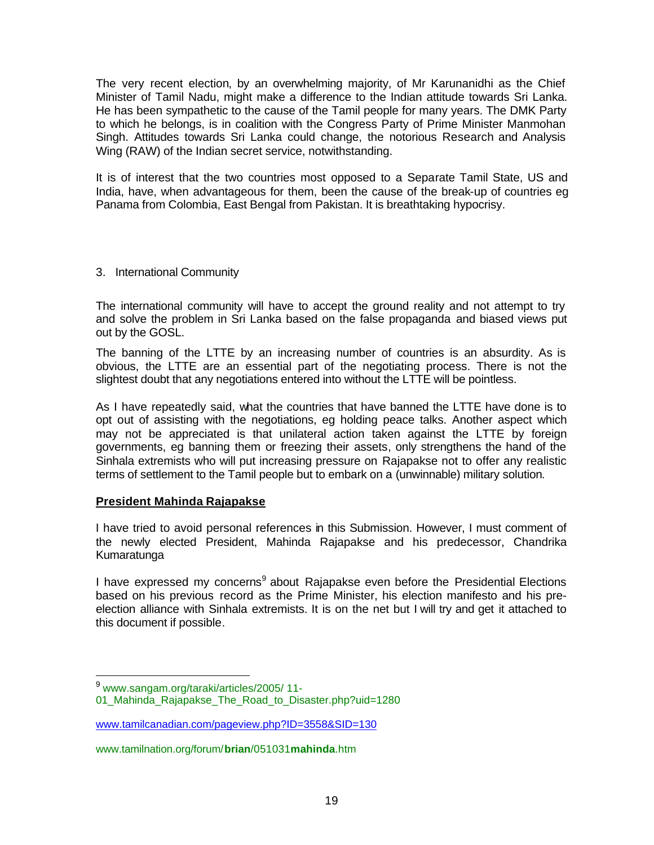The very recent election, by an overwhelming majority, of Mr Karunanidhi as the Chief Minister of Tamil Nadu, might make a difference to the Indian attitude towards Sri Lanka. He has been sympathetic to the cause of the Tamil people for many years. The DMK Party to which he belongs, is in coalition with the Congress Party of Prime Minister Manmohan Singh. Attitudes towards Sri Lanka could change, the notorious Research and Analysis Wing (RAW) of the Indian secret service, notwithstanding.

It is of interest that the two countries most opposed to a Separate Tamil State, US and India, have, when advantageous for them, been the cause of the break-up of countries eg Panama from Colombia, East Bengal from Pakistan. It is breathtaking hypocrisy.

## 3. International Community

The international community will have to accept the ground reality and not attempt to try and solve the problem in Sri Lanka based on the false propaganda and biased views put out by the GOSL.

The banning of the LTTE by an increasing number of countries is an absurdity. As is obvious, the LTTE are an essential part of the negotiating process. There is not the slightest doubt that any negotiations entered into without the LTTE will be pointless.

As I have repeatedly said, what the countries that have banned the LTTE have done is to opt out of assisting with the negotiations, eg holding peace talks. Another aspect which may not be appreciated is that unilateral action taken against the LTTE by foreign governments, eg banning them or freezing their assets, only strengthens the hand of the Sinhala extremists who will put increasing pressure on Rajapakse not to offer any realistic terms of settlement to the Tamil people but to embark on a (unwinnable) military solution.

## **President Mahinda Rajapakse**

I have tried to avoid personal references in this Submission. However, I must comment of the newly elected President, Mahinda Rajapakse and his predecessor, Chandrika Kumaratunga

I have expressed my concerns<sup>9</sup> about Rajapakse even before the Presidential Elections based on his previous record as the Prime Minister, his election manifesto and his preelection alliance with Sinhala extremists. It is on the net but I will try and get it attached to this document if possible.

<sup>&</sup>lt;sup>9</sup> www.sangam.org/taraki/articles/2005/ 11-

<sup>01</sup> Mahinda Rajapakse The Road to Disaster.php?uid=1280

www.tamilcanadian.com/pageview.php?ID=3558&SID=130

www.tamilnation.org/forum/**brian**/051031**mahinda**.htm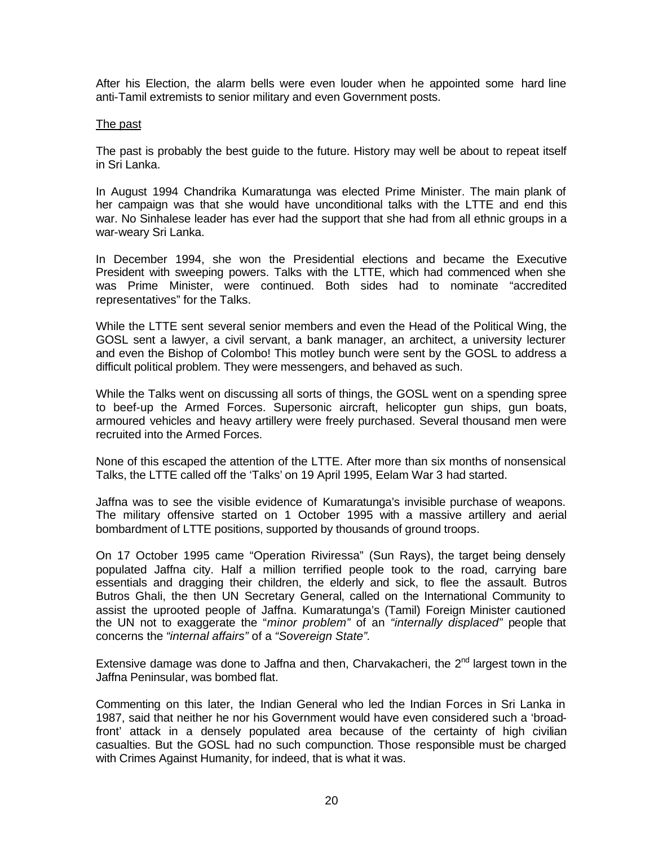After his Election, the alarm bells were even louder when he appointed some hard line anti-Tamil extremists to senior military and even Government posts.

#### The past

The past is probably the best guide to the future. History may well be about to repeat itself in Sri Lanka.

In August 1994 Chandrika Kumaratunga was elected Prime Minister. The main plank of her campaign was that she would have unconditional talks with the LTTE and end this war. No Sinhalese leader has ever had the support that she had from all ethnic groups in a war-weary Sri Lanka.

In December 1994, she won the Presidential elections and became the Executive President with sweeping powers. Talks with the LTTE, which had commenced when she was Prime Minister, were continued. Both sides had to nominate "accredited representatives" for the Talks.

While the LTTE sent several senior members and even the Head of the Political Wing, the GOSL sent a lawyer, a civil servant, a bank manager, an architect, a university lecturer and even the Bishop of Colombo! This motley bunch were sent by the GOSL to address a difficult political problem. They were messengers, and behaved as such.

While the Talks went on discussing all sorts of things, the GOSL went on a spending spree to beef-up the Armed Forces. Supersonic aircraft, helicopter gun ships, gun boats, armoured vehicles and heavy artillery were freely purchased. Several thousand men were recruited into the Armed Forces.

None of this escaped the attention of the LTTE. After more than six months of nonsensical Talks, the LTTE called off the 'Talks' on 19 April 1995, Eelam War 3 had started.

Jaffna was to see the visible evidence of Kumaratunga's invisible purchase of weapons. The military offensive started on 1 October 1995 with a massive artillery and aerial bombardment of LTTE positions, supported by thousands of ground troops.

On 17 October 1995 came "Operation Riviressa" (Sun Rays), the target being densely populated Jaffna city. Half a million terrified people took to the road, carrying bare essentials and dragging their children, the elderly and sick, to flee the assault. Butros Butros Ghali, the then UN Secretary General, called on the International Community to assist the uprooted people of Jaffna. Kumaratunga's (Tamil) Foreign Minister cautioned the UN not to exaggerate the "*minor problem"* of an *"internally displaced"* people that concerns the *"internal affairs"* of a *"Sovereign State".*

Extensive damage was done to Jaffna and then, Charvakacheri, the  $2<sup>nd</sup>$  largest town in the Jaffna Peninsular, was bombed flat.

Commenting on this later, the Indian General who led the Indian Forces in Sri Lanka in 1987, said that neither he nor his Government would have even considered such a 'broadfront' attack in a densely populated area because of the certainty of high civilian casualties. But the GOSL had no such compunction. Those responsible must be charged with Crimes Against Humanity, for indeed, that is what it was.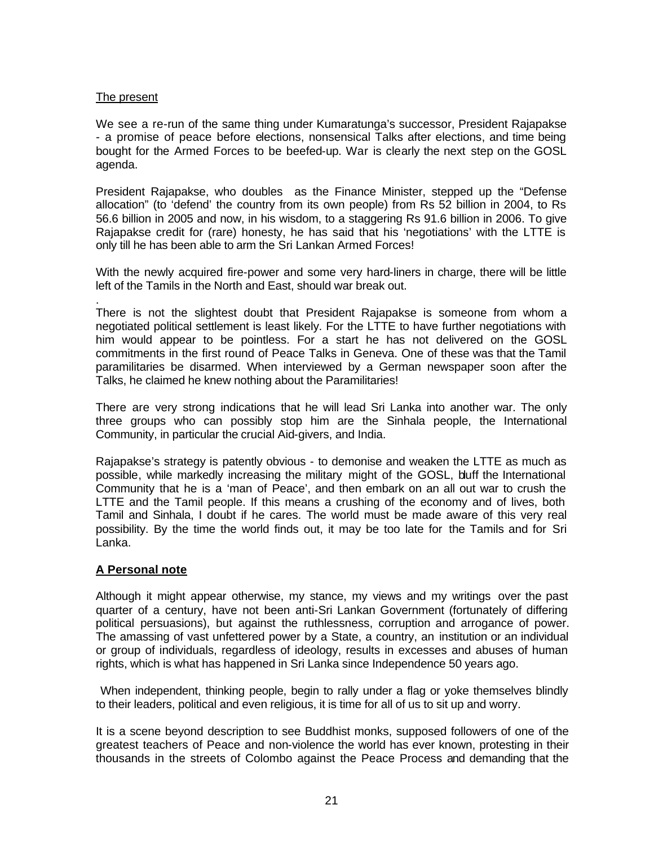## The present

We see a re-run of the same thing under Kumaratunga's successor, President Rajapakse - a promise of peace before elections, nonsensical Talks after elections, and time being bought for the Armed Forces to be beefed-up. War is clearly the next step on the GOSL agenda.

President Rajapakse, who doubles as the Finance Minister, stepped up the "Defense allocation" (to 'defend' the country from its own people) from Rs 52 billion in 2004, to Rs 56.6 billion in 2005 and now, in his wisdom, to a staggering Rs 91.6 billion in 2006. To give Rajapakse credit for (rare) honesty, he has said that his 'negotiations' with the LTTE is only till he has been able to arm the Sri Lankan Armed Forces!

With the newly acquired fire-power and some very hard-liners in charge, there will be little left of the Tamils in the North and East, should war break out.

. There is not the slightest doubt that President Rajapakse is someone from whom a negotiated political settlement is least likely. For the LTTE to have further negotiations with him would appear to be pointless. For a start he has not delivered on the GOSL commitments in the first round of Peace Talks in Geneva. One of these was that the Tamil paramilitaries be disarmed. When interviewed by a German newspaper soon after the Talks, he claimed he knew nothing about the Paramilitaries!

There are very strong indications that he will lead Sri Lanka into another war. The only three groups who can possibly stop him are the Sinhala people, the International Community, in particular the crucial Aid-givers, and India.

Rajapakse's strategy is patently obvious - to demonise and weaken the LTTE as much as possible, while markedly increasing the military might of the GOSL, bluff the International Community that he is a 'man of Peace', and then embark on an all out war to crush the LTTE and the Tamil people. If this means a crushing of the economy and of lives, both Tamil and Sinhala, I doubt if he cares. The world must be made aware of this very real possibility. By the time the world finds out, it may be too late for the Tamils and for Sri Lanka.

## **A Personal note**

Although it might appear otherwise, my stance, my views and my writings over the past quarter of a century, have not been anti-Sri Lankan Government (fortunately of differing political persuasions), but against the ruthlessness, corruption and arrogance of power. The amassing of vast unfettered power by a State, a country, an institution or an individual or group of individuals, regardless of ideology, results in excesses and abuses of human rights, which is what has happened in Sri Lanka since Independence 50 years ago.

 When independent, thinking people, begin to rally under a flag or yoke themselves blindly to their leaders, political and even religious, it is time for all of us to sit up and worry.

It is a scene beyond description to see Buddhist monks, supposed followers of one of the greatest teachers of Peace and non-violence the world has ever known, protesting in their thousands in the streets of Colombo against the Peace Process and demanding that the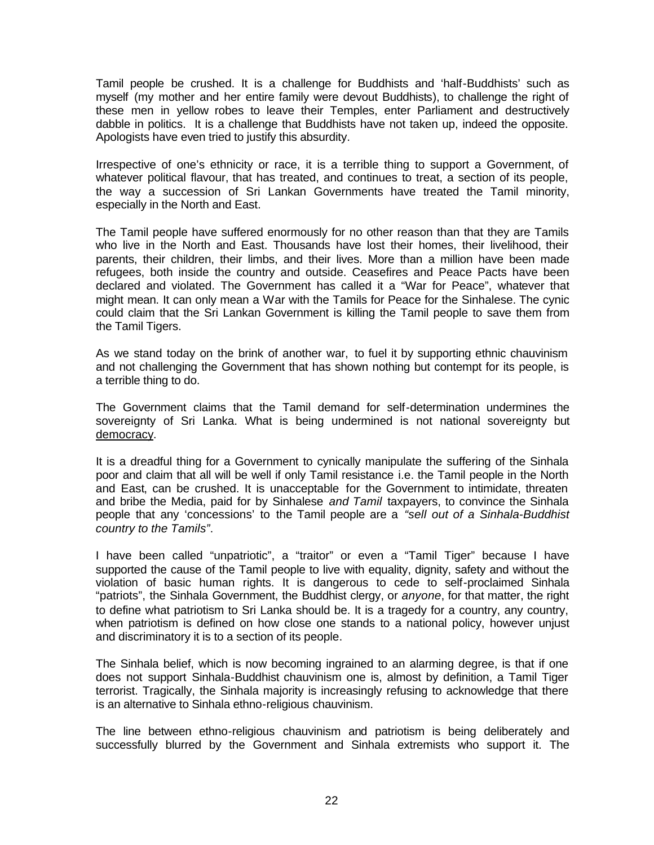Tamil people be crushed. It is a challenge for Buddhists and 'half-Buddhists' such as myself (my mother and her entire family were devout Buddhists), to challenge the right of these men in yellow robes to leave their Temples, enter Parliament and destructively dabble in politics. It is a challenge that Buddhists have not taken up, indeed the opposite. Apologists have even tried to justify this absurdity.

Irrespective of one's ethnicity or race, it is a terrible thing to support a Government, of whatever political flavour, that has treated, and continues to treat, a section of its people, the way a succession of Sri Lankan Governments have treated the Tamil minority, especially in the North and East.

The Tamil people have suffered enormously for no other reason than that they are Tamils who live in the North and East. Thousands have lost their homes, their livelihood, their parents, their children, their limbs, and their lives. More than a million have been made refugees, both inside the country and outside. Ceasefires and Peace Pacts have been declared and violated. The Government has called it a "War for Peace", whatever that might mean. It can only mean a War with the Tamils for Peace for the Sinhalese. The cynic could claim that the Sri Lankan Government is killing the Tamil people to save them from the Tamil Tigers.

As we stand today on the brink of another war, to fuel it by supporting ethnic chauvinism and not challenging the Government that has shown nothing but contempt for its people, is a terrible thing to do.

The Government claims that the Tamil demand for self-determination undermines the sovereignty of Sri Lanka. What is being undermined is not national sovereignty but democracy.

It is a dreadful thing for a Government to cynically manipulate the suffering of the Sinhala poor and claim that all will be well if only Tamil resistance i.e. the Tamil people in the North and East, can be crushed. It is unacceptable for the Government to intimidate, threaten and bribe the Media, paid for by Sinhalese *and Tamil* taxpayers, to convince the Sinhala people that any 'concessions' to the Tamil people are a *"sell out of a Sinhala-Buddhist country to the Tamils"*.

I have been called "unpatriotic", a "traitor" or even a "Tamil Tiger" because I have supported the cause of the Tamil people to live with equality, dignity, safety and without the violation of basic human rights. It is dangerous to cede to self-proclaimed Sinhala "patriots", the Sinhala Government, the Buddhist clergy, or *anyone*, for that matter, the right to define what patriotism to Sri Lanka should be. It is a tragedy for a country, any country, when patriotism is defined on how close one stands to a national policy, however unjust and discriminatory it is to a section of its people.

The Sinhala belief, which is now becoming ingrained to an alarming degree, is that if one does not support Sinhala-Buddhist chauvinism one is, almost by definition, a Tamil Tiger terrorist. Tragically, the Sinhala majority is increasingly refusing to acknowledge that there is an alternative to Sinhala ethno-religious chauvinism.

The line between ethno-religious chauvinism and patriotism is being deliberately and successfully blurred by the Government and Sinhala extremists who support it. The